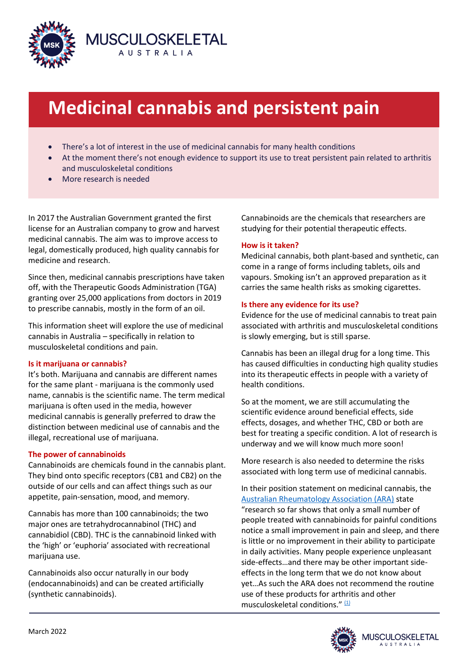

# **Medicinal cannabis and persistent pain**

- There's a lot of interest in the use of medicinal cannabis for many health conditions
- At the moment there's not enough evidence to support its use to treat persistent pain related to arthritis and musculoskeletal conditions
- More research is needed

In 2017 the Australian Government granted the first license for an Australian company to grow and harvest medicinal cannabis. The aim was to improve access to legal, domestically produced, high quality cannabis for medicine and research.

Since then, medicinal cannabis prescriptions have taken off, with the Therapeutic Goods Administration (TGA) granting over 25,000 applications from doctors in 2019 to prescribe cannabis, mostly in the form of an oil.

This information sheet will explore the use of medicinal cannabis in Australia – specifically in relation to musculoskeletal conditions and pain.

# **Is it marijuana or cannabis?**

It's both. Marijuana and cannabis are different names for the same plant - marijuana is the commonly used name, cannabis is the scientific name. The term medical marijuana is often used in the media, however medicinal cannabis is generally preferred to draw the distinction between medicinal use of cannabis and the illegal, recreational use of marijuana.

# **The power of cannabinoids**

Cannabinoids are chemicals found in the cannabis plant. They bind onto specific receptors (CB1 and CB2) on the outside of our cells and can affect things such as our appetite, pain-sensation, mood, and memory.

Cannabis has more than 100 cannabinoids; the two major ones are tetrahydrocannabinol (THC) and cannabidiol (CBD). THC is the cannabinoid linked with the 'high' or 'euphoria' associated with recreational marijuana use.

Cannabinoids also occur naturally in our body (endocannabinoids) and can be created artificially (synthetic cannabinoids).

Cannabinoids are the chemicals that researchers are studying for their potential therapeutic effects.

# **How is it taken?**

Medicinal cannabis, both plant-based and synthetic, can come in a range of forms including tablets, oils and vapours. Smoking isn't an approved preparation as it carries the same health risks as smoking cigarettes.

# **Is there any evidence for its use?**

Evidence for the use of medicinal cannabis to treat pain associated with arthritis and musculoskeletal conditions is slowly emerging, but is still sparse.

Cannabis has been an illegal drug for a long time. This has caused difficulties in conducting high quality studies into its therapeutic effects in people with a variety of health conditions.

So at the moment, we are still accumulating the scientific evidence around beneficial effects, side effects, dosages, and whether THC, CBD or both are best for treating a specific condition. A lot of research is underway and we will know much more soon!

More research is also needed to determine the risks associated with long term use of medicinal cannabis.

In their position statement on medicinal cannabis, the [Australian Rheumatology Association \(ARA\)](https://rheumatology.org.au/Portals/2/Documents/Public/Professionals/Position%20Statements/211130_ARA_Cannabanoid%20Position%20Statement.pdf?ver=2021-12-13-161455-620) state "research so far shows that only a small number of people treated with cannabinoids for painful conditions notice a small improvement in pain and sleep, and there is little or no improvement in their ability to participate in daily activities. Many people experience unpleasant side-effects…and there may be other important sideeffects in the long term that we do not know about yet…As such the ARA does not recommend the routine use of these products for arthritis and other musculoskeletal conditions." [\(1\)](https://rheumatology.org.au/Portals/2/Documents/Public/Professionals/Position%20Statements/211130_ARA_Cannabanoid%20Position%20Statement.pdf?ver=2021-12-13-161455-620)